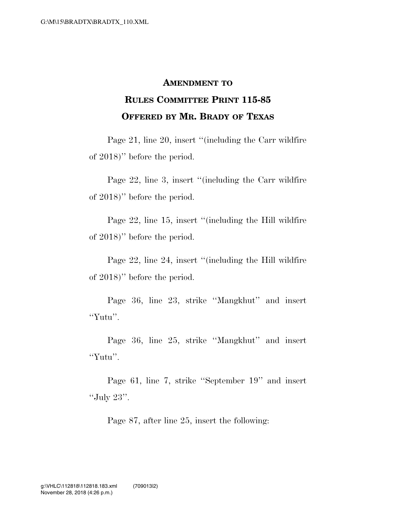## **AMENDMENT TO**

## **RULES COMMITTEE PRINT 115-85 OFFERED BY MR. BRADY OF TEXAS**

Page 21, line 20, insert ''(including the Carr wildfire of 2018)'' before the period.

Page 22, line 3, insert ''(including the Carr wildfire of 2018)'' before the period.

Page 22, line 15, insert "(including the Hill wildfire of 2018)'' before the period.

Page 22, line 24, insert "(including the Hill wildfire of 2018)'' before the period.

Page 36, line 23, strike ''Mangkhut'' and insert ''Yutu''.

Page 36, line 25, strike ''Mangkhut'' and insert ''Yutu''.

Page 61, line 7, strike ''September 19'' and insert ''July 23''.

Page 87, after line 25, insert the following: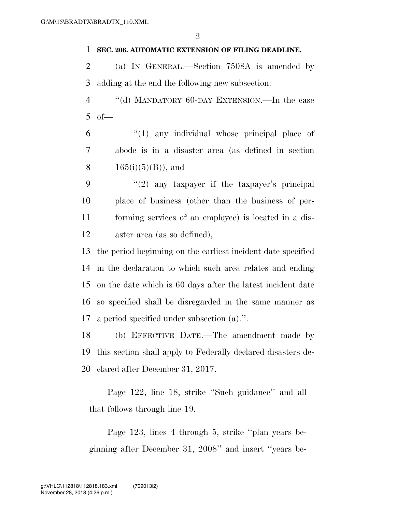## **SEC. 206. AUTOMATIC EXTENSION OF FILING DEADLINE.**

 (a) IN GENERAL.—Section 7508A is amended by adding at the end the following new subsection:

 ''(d) MANDATORY 60-DAY EXTENSION.—In the case of—

 ''(1) any individual whose principal place of abode is in a disaster area (as defined in section 8  $165(i)(5)(B)$ , and

 $(2)$  any taxpayer if the taxpayer's principal place of business (other than the business of per- forming services of an employee) is located in a dis-aster area (as so defined),

 the period beginning on the earliest incident date specified in the declaration to which such area relates and ending on the date which is 60 days after the latest incident date so specified shall be disregarded in the same manner as a period specified under subsection (a).''.

 (b) EFFECTIVE DATE.—The amendment made by this section shall apply to Federally declared disasters de-clared after December 31, 2017.

Page 122, line 18, strike ''Such guidance'' and all that follows through line 19.

Page 123, lines 4 through 5, strike ''plan years beginning after December 31, 2008'' and insert ''years be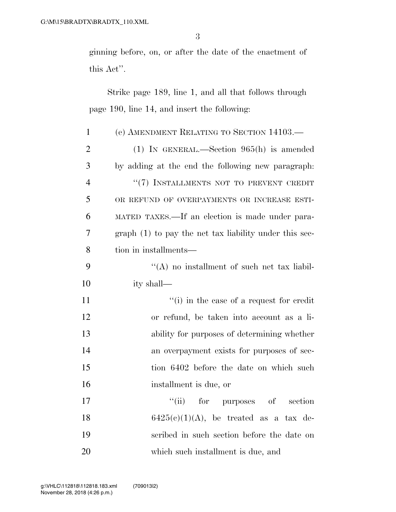ginning before, on, or after the date of the enactment of this Act''.

Strike page 189, line 1, and all that follows through page 190, line 14, and insert the following:

| $\mathbf{1}$   | (e) AMENDMENT RELATING TO SECTION 14103.                |
|----------------|---------------------------------------------------------|
| $\overline{2}$ | (1) IN GENERAL.—Section $965(h)$ is amended             |
| 3              | by adding at the end the following new paragraph.       |
| $\overline{4}$ | "(7) INSTALLMENTS NOT TO PREVENT CREDIT                 |
| 5              | OR REFUND OF OVERPAYMENTS OR INCREASE ESTI-             |
| 6              | MATED TAXES.—If an election is made under para-         |
| 7              | $graph(1)$ to pay the net tax liability under this sec- |
| 8              | tion in installments—                                   |
| 9              | $\lq\lq$ no installment of such net tax liabil-         |
| 10             | ity shall—                                              |
| 11             | $``(i)$ in the case of a request for credit             |
| 12             | or refund, be taken into account as a li-               |
| 13             | ability for purposes of determining whether             |
| 14             | an overpayment exists for purposes of sec-              |
| 15             | tion 6402 before the date on which such                 |
| 16             | installment is due, or                                  |
| 17             | ``(ii)<br>for<br>purposes of section                    |
| 18             | $6425(c)(1)(A)$ , be treated as a tax de-               |
| 19             | scribed in such section before the date on              |
| 20             | which such installment is due, and                      |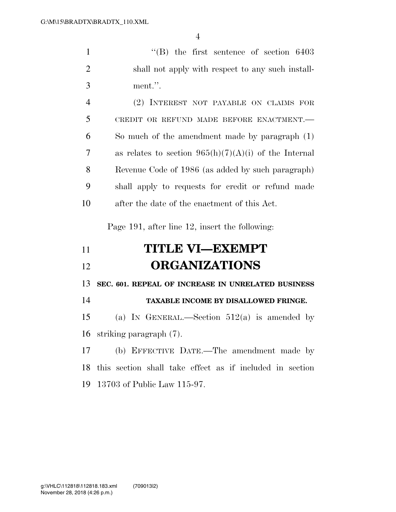''(B) the first sentence of section 6403 shall not apply with respect to any such install-ment.''.

|    | (2) INTEREST NOT PAYABLE ON CLAIMS FOR                  |
|----|---------------------------------------------------------|
| 5  | CREDIT OR REFUND MADE BEFORE ENACTMENT.-                |
| 6  | So much of the amendment made by paragraph (1)          |
| 7  | as relates to section $965(h)(7)(A)(i)$ of the Internal |
| 8  | Revenue Code of 1986 (as added by such paragraph)       |
| 9  | shall apply to requests for credit or refund made       |
| 10 | after the date of the enactment of this Act.            |

Page 191, after line 12, insert the following:

| 11 | <b>TITLE VI-EXEMPT</b> |
|----|------------------------|
| 12 | <b>ORGANIZATIONS</b>   |

**SEC. 601. REPEAL OF INCREASE IN UNRELATED BUSINESS** 

| 14 |  | <b>TAXABLE INCOME BY DISALLOWED FRINGE.</b> |
|----|--|---------------------------------------------|
|----|--|---------------------------------------------|

15 (a) IN GENERAL.—Section  $512(a)$  is amended by striking paragraph (7).

 (b) EFFECTIVE DATE.—The amendment made by this section shall take effect as if included in section 13703 of Public Law 115-97.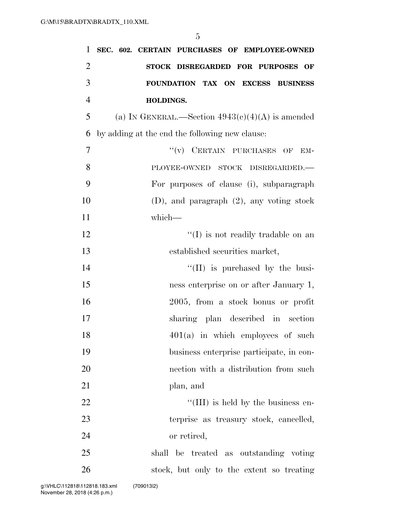| $\overline{2}$<br>STOCK DISREGARDED FOR PURPOSES OF<br>3<br>FOUNDATION TAX ON EXCESS BUSINESS<br>$\overline{4}$<br>HOLDINGS.<br>5<br>(a) IN GENERAL.—Section $4943(c)(4)(A)$ is amended<br>6<br>by adding at the end the following new clause:<br>7<br>$``(v)$ CERTAIN PURCHASES OF<br>EM-<br>8<br>PLOYEE-OWNED STOCK DISREGARDED.-<br>9<br>For purposes of clause (i), subparagraph<br>10<br>$(D)$ , and paragraph $(2)$ , any voting stock<br>11<br>which-<br>12<br>$\lq\lq$ (I) is not readily tradable on an<br>13<br>established securities market,<br>14<br>$\lq\lq$ (II) is purchased by the busi-<br>15<br>ness enterprise on or after January 1,<br>16<br>2005, from a stock bonus or profit<br>17<br>sharing plan described in section<br>$401(a)$ in which employees of such<br>18<br>19<br>business enterprise participate, in con-<br>20<br>nection with a distribution from such<br>21<br>plan, and<br>22<br>"(III) is held by the business en-<br>23<br>terprise as treasury stock, cancelled,<br>24<br>or retired,<br>25<br>shall be treated as outstanding voting<br>26<br>stock, but only to the extent so treating | 1 | SEC. 602. CERTAIN PURCHASES OF EMPLOYEE-OWNED |
|---------------------------------------------------------------------------------------------------------------------------------------------------------------------------------------------------------------------------------------------------------------------------------------------------------------------------------------------------------------------------------------------------------------------------------------------------------------------------------------------------------------------------------------------------------------------------------------------------------------------------------------------------------------------------------------------------------------------------------------------------------------------------------------------------------------------------------------------------------------------------------------------------------------------------------------------------------------------------------------------------------------------------------------------------------------------------------------------------------------------------------------|---|-----------------------------------------------|
|                                                                                                                                                                                                                                                                                                                                                                                                                                                                                                                                                                                                                                                                                                                                                                                                                                                                                                                                                                                                                                                                                                                                       |   |                                               |
|                                                                                                                                                                                                                                                                                                                                                                                                                                                                                                                                                                                                                                                                                                                                                                                                                                                                                                                                                                                                                                                                                                                                       |   |                                               |
|                                                                                                                                                                                                                                                                                                                                                                                                                                                                                                                                                                                                                                                                                                                                                                                                                                                                                                                                                                                                                                                                                                                                       |   |                                               |
|                                                                                                                                                                                                                                                                                                                                                                                                                                                                                                                                                                                                                                                                                                                                                                                                                                                                                                                                                                                                                                                                                                                                       |   |                                               |
|                                                                                                                                                                                                                                                                                                                                                                                                                                                                                                                                                                                                                                                                                                                                                                                                                                                                                                                                                                                                                                                                                                                                       |   |                                               |
|                                                                                                                                                                                                                                                                                                                                                                                                                                                                                                                                                                                                                                                                                                                                                                                                                                                                                                                                                                                                                                                                                                                                       |   |                                               |
|                                                                                                                                                                                                                                                                                                                                                                                                                                                                                                                                                                                                                                                                                                                                                                                                                                                                                                                                                                                                                                                                                                                                       |   |                                               |
|                                                                                                                                                                                                                                                                                                                                                                                                                                                                                                                                                                                                                                                                                                                                                                                                                                                                                                                                                                                                                                                                                                                                       |   |                                               |
|                                                                                                                                                                                                                                                                                                                                                                                                                                                                                                                                                                                                                                                                                                                                                                                                                                                                                                                                                                                                                                                                                                                                       |   |                                               |
|                                                                                                                                                                                                                                                                                                                                                                                                                                                                                                                                                                                                                                                                                                                                                                                                                                                                                                                                                                                                                                                                                                                                       |   |                                               |
|                                                                                                                                                                                                                                                                                                                                                                                                                                                                                                                                                                                                                                                                                                                                                                                                                                                                                                                                                                                                                                                                                                                                       |   |                                               |
|                                                                                                                                                                                                                                                                                                                                                                                                                                                                                                                                                                                                                                                                                                                                                                                                                                                                                                                                                                                                                                                                                                                                       |   |                                               |
|                                                                                                                                                                                                                                                                                                                                                                                                                                                                                                                                                                                                                                                                                                                                                                                                                                                                                                                                                                                                                                                                                                                                       |   |                                               |
|                                                                                                                                                                                                                                                                                                                                                                                                                                                                                                                                                                                                                                                                                                                                                                                                                                                                                                                                                                                                                                                                                                                                       |   |                                               |
|                                                                                                                                                                                                                                                                                                                                                                                                                                                                                                                                                                                                                                                                                                                                                                                                                                                                                                                                                                                                                                                                                                                                       |   |                                               |
|                                                                                                                                                                                                                                                                                                                                                                                                                                                                                                                                                                                                                                                                                                                                                                                                                                                                                                                                                                                                                                                                                                                                       |   |                                               |
|                                                                                                                                                                                                                                                                                                                                                                                                                                                                                                                                                                                                                                                                                                                                                                                                                                                                                                                                                                                                                                                                                                                                       |   |                                               |
|                                                                                                                                                                                                                                                                                                                                                                                                                                                                                                                                                                                                                                                                                                                                                                                                                                                                                                                                                                                                                                                                                                                                       |   |                                               |
|                                                                                                                                                                                                                                                                                                                                                                                                                                                                                                                                                                                                                                                                                                                                                                                                                                                                                                                                                                                                                                                                                                                                       |   |                                               |
|                                                                                                                                                                                                                                                                                                                                                                                                                                                                                                                                                                                                                                                                                                                                                                                                                                                                                                                                                                                                                                                                                                                                       |   |                                               |
|                                                                                                                                                                                                                                                                                                                                                                                                                                                                                                                                                                                                                                                                                                                                                                                                                                                                                                                                                                                                                                                                                                                                       |   |                                               |
|                                                                                                                                                                                                                                                                                                                                                                                                                                                                                                                                                                                                                                                                                                                                                                                                                                                                                                                                                                                                                                                                                                                                       |   |                                               |
|                                                                                                                                                                                                                                                                                                                                                                                                                                                                                                                                                                                                                                                                                                                                                                                                                                                                                                                                                                                                                                                                                                                                       |   |                                               |
|                                                                                                                                                                                                                                                                                                                                                                                                                                                                                                                                                                                                                                                                                                                                                                                                                                                                                                                                                                                                                                                                                                                                       |   |                                               |
|                                                                                                                                                                                                                                                                                                                                                                                                                                                                                                                                                                                                                                                                                                                                                                                                                                                                                                                                                                                                                                                                                                                                       |   |                                               |